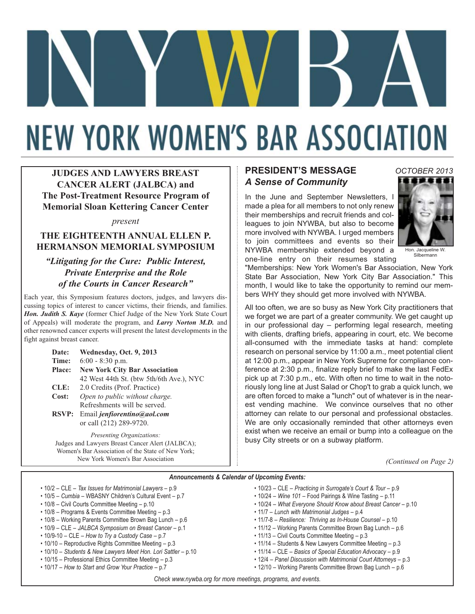# **NEW YORK WOMEN'S BAR ASSOCIATION**

**JUDGES AND LAWYERS BREAST CANCER ALERT (JALBCA) and The Post-Treatment Resource Program of Memorial Sloan Kettering Cancer Center**

*present*

#### **THE EIGHTEENTH ANNUAL ELLEN P. HERMANSON MEMORIAL SYMPOSIUM**

*"Litigating for the Cure: Public Interest, Private Enterprise and the Role of the Courts in Cancer Research"*

Each year, this Symposium features doctors, judges, and lawyers discussing topics of interest to cancer victims, their friends, and families. *Hon. Judith S. Kaye* (former Chief Judge of the New York State Court of Appeals) will moderate the program, and *Larry Norton M.D.* and other renowned cancer experts will present the latest developments in the fight against breast cancer.

| Date:         | Wednesday, Oct. 9, 2013                  |  |
|---------------|------------------------------------------|--|
| Time:         | $6:00 - 8:30$ p.m.                       |  |
| <b>Place:</b> | <b>New York City Bar Association</b>     |  |
|               | 42 West 44th St. (btw 5th/6th Ave.), NYC |  |
| CLE:          | 2.0 Credits (Prof. Practice)             |  |
| Cost:         | Open to public without charge.           |  |
|               | Refreshments will be served.             |  |
| <b>RSVP:</b>  | Email jenfiorentino@aol.com              |  |
|               | or call (212) 289-9720.                  |  |

*Presenting Organizations:*  Judges and Lawyers Breast Cancer Alert (JALBCA); Women's Bar Association of the State of New York; New York Women's Bar Association

## **PRESIDENT'S MESSAGE** *A Sense of Community*

In the June and September Newsletters, I made a plea for all members to not only renew their memberships and recruit friends and colleagues to join NYWBA, but also to become more involved with NYWBA. I urged members to join committees and events so their NYWBA membership extended beyond a one-line entry on their resumes stating



*OCTOBER 2013*

Hon. Jacqueline W. Silbermann

"Memberships: New York Women's Bar Association, New York State Bar Association, New York City Bar Association." This month, I would like to take the opportunity to remind our members WHY they should get more involved with NYWBA.

All too often, we are so busy as New York City practitioners that we forget we are part of a greater community. We get caught up in our professional day – performing legal research, meeting with clients, drafting briefs, appearing in court, etc. We become all-consumed with the immediate tasks at hand: complete research on personal service by 11:00 a.m., meet potential client at 12:00 p.m., appear in New York Supreme for compliance conference at 2:30 p.m., finalize reply brief to make the last FedEx pick up at 7:30 p.m., etc. With often no time to wait in the notoriously long line at Just Salad or Chop't to grab a quick lunch, we are often forced to make a "lunch" out of whatever is in the nearest vending machine. We convince ourselves that no other attorney can relate to our personal and professional obstacles. We are only occasionally reminded that other attorneys even exist when we receive an email or bump into a colleague on the busy City streets or on a subway platform.

*(Continued on Page 2)*

#### *Announcements & Calendar of Upcoming Events:*

- 10/2 CLE *Tax Issues for Matrimonial Lawyers* p.9
- 10/5 *Cumbia* WBASNY Children's Cultural Event p.7
- 10/8 Civil Courts Committee Meeting p.10
- 10/8 Programs & Events Committee Meeting p.3
- 10/8 Working Parents Committee Brown Bag Lunch p.6
- 10/9 CLE *JALBCA Symposium on Breast Cancer* p.1
- 10/9-10 CLE *How to Try a Custody Case* p.7
- 10/10 Reproductive Rights Committee Meeting p.3
- 10/10 *Students & New Lawyers Meet Hon. Lori Sattler* p.10 • 10/15 – Professional Ethics Committee Meeting – p.3
- 10/17 *How to Start and Grow Your Practice* p.7
- 10/23 CLE *Practicing in Surrogate's Court & Tour* p.9
- 10/24 *Wine 101* Food Pairings & Wine Tasting p.11
- 10/24 *What Everyone Should Know about Breast Cancer* p.10
- 11/7 *Lunch with Matrimonial Judges* p.4
- 11/7-8 *Resilience: Thriving as In-House Counsel* p.10
- 11/12 Working Parents Committee Brown Bag Lunch p.6
- 11/13 Civil Courts Committee Meeting p.3
- 11/14 Students & New Lawyers Committee Meeting p.3
- 11/14 CLE *Basics of Special Education Advocacy* p.9
- 12/4 *Panel Discussion with Matrimonial Court Attorneys* p.3
- 12/10 Working Parents Committee Brown Bag Lunch p.6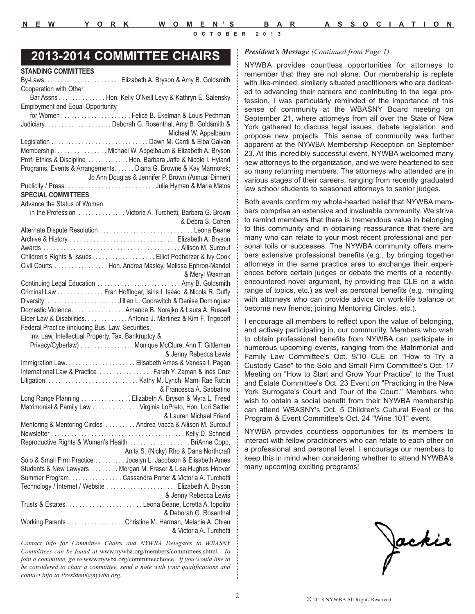## *President's Message (Continued from Page 1)* **2013-2014 COMMITTEE CHAIRS**

| Cooperation with Other                                                                             |
|----------------------------------------------------------------------------------------------------|
| Bar Assns Hon. Kelly O'Neill Levy & Kathryn E. Salensky<br><b>Employment and Equal Opportunity</b> |
|                                                                                                    |
|                                                                                                    |
| Michael W. Appelbaum                                                                               |
|                                                                                                    |
| Membership. Nichael W. Appelbaum & Elizabeth A. Bryson                                             |
| Prof. Ethics & Discipline Hon. Barbara Jaffe & Nicole I. Hyland                                    |
| Programs, Events & Arrangements. Diana G. Browne & Kay Marmorek;                                   |
| Jo Ann Douglas & Jennifer P. Brown (Annual Dinner)                                                 |
| Publicity / PressJulie Hyman & Maria Matos                                                         |
| <b>SPECIAL COMMITTEES</b>                                                                          |
| Advance the Status of Women                                                                        |
| in the Profession  Victoria A. Turchetti, Barbara G. Brown                                         |
| & Debra S. Cohen                                                                                   |
|                                                                                                    |
|                                                                                                    |
|                                                                                                    |
| Children's Rights & Issues. Elliot Podhorzer & Ivy Cook                                            |
| Civil Courts Hon. Andrea Masley, Melissa Ephron-Mandel                                             |
| & Meryl Waxman                                                                                     |
|                                                                                                    |
| Criminal Law Fran Hoffinger, Isiris I. Isaac & Nicola R. Duffy                                     |
| DiversityJillian L. Goorevitch & Denise Dominguez                                                  |
| Domestic Violence. Amanda B. Norejko & Laura A. Russell                                            |
| Elder Law & Disabilities. Antonia J. Martinez & Kim F. Trigoboff                                   |
| Federal Practice (including Bus. Law, Securities,                                                  |
| Inv. Law, Intellectual Property, Tax, Bankruptcy &                                                 |
| Privacy/Cyberlaw) Monique McClure, Ann T. Gittleman                                                |
| & Jenny Rebecca Lewis                                                                              |
|                                                                                                    |
| International Law & Practice  Farah Y. Zaman & Inés Cruz                                           |
|                                                                                                    |
| & Francesca A. Sabbatino                                                                           |
| Long Range Planning Elizabeth A. Bryson & Myra L. Freed                                            |
| Matrimonial & Family Law Virginia LoPreto, Hon. Lori Sattler                                       |
| & Lauren Michael Friend                                                                            |
| Mentoring & Mentoring Circles Andrea Vacca & Allison M. Surcouf                                    |
|                                                                                                    |
| Reproductive Rights & Women's Health BriAnne Copp,                                                 |
| Anita S. (Nicky) Rho & Dana Northcraft                                                             |
| Solo & Small Firm Practice Jocelyn L. Jacobson & Elisabeth Ames                                    |
| Students & New Lawyers Morgan M. Fraser & Lisa Hughes Hoover                                       |
| Summer Program. Cassandra Porter & Victoria A. Turchetti                                           |
| Technology / Internet / Website Elizabeth A. Bryson                                                |
| & Jenny Rebecca Lewis                                                                              |
| Trusts & EstatesLeona Beane, Loretta A. Ippolito                                                   |
| & Deborah G. Rosenthal                                                                             |
| Working Parents Christine M. Harman, Melanie A. Chieu                                              |
| & Victoria A. Turchetti                                                                            |
|                                                                                                    |

*Contact info for Committee Chairs and NYWBA Delegates to WBASNY Committees can be found at* www.nywba.org/members/committees.shtml*. To join a committee, go to* www.nywba.org/committeechoice*. If you would like to be considered to chair a committee, send a note with your qualifications and contact info to President@nywba.org.*

NYWBA provides countless opportunities for attorneys to remember that they are not alone. Our membership is replete with like-minded, similarly situated practitioners who are dedicated to advancing their careers and contributing to the legal profession. I was particularly reminded of the importance of this sense of community at the WBASNY Board meeting on September 21, where attorneys from all over the State of New York gathered to discuss legal issues, debate legislation, and propose new projects. This sense of community was further apparent at the NYWBA Membership Reception on September 23. At this incredibly successful event, NYWBA welcomed many new attorneys to the organization, and we were heartened to see so many returning members. The attorneys who attended are in various stages of their careers, ranging from recently graduated law school students to seasoned attorneys to senior judges.

Both events confirm my whole-hearted belief that NYWBA members comprise an extensive and invaluable community. We strive to remind members that there is tremendous value in belonging to this community and in obtaining reassurance that there are many who can relate to your most recent professional and personal toils or successes. The NYWBA community offers members extensive professional benefits (e.g., by bringing together attorneys in the same practice area to exchange their experiences before certain judges or debate the merits of a recentlyencountered novel argument, by providing free CLE on a wide range of topics, etc.) as well as personal benefits (e.g. mingling with attorneys who can provide advice on work-life balance or become new friends; joining Mentoring Circles, etc.).

I encourage all members to reflect upon the value of belonging, and actively participating in, our community. Members who wish to obtain professional benefits from NYWBA can participate in numerous upcoming events, ranging from the Matrimonial and Family Law Committee's Oct. 9/10 CLE on "How to Try a Custody Case" to the Solo and Small Firm Committee's Oct. 17 Meeting on "How to Start and Grow Your Practice" to the Trust and Estate Committee's Oct. 23 Event on "Practicing in the New York Surrogate's Court and Tour of the Court." Members who wish to obtain a social benefit from their NYWBA membership can attend WBASNY's Oct. 5 Children's Cultural Event or the Program & Event Committee's Oct. 24 "Wine 101" event.

NYWBA provides countless opportunities for its members to interact with fellow practitioners who can relate to each other on a professional and personal level. I encourage our members to keep this in mind when considering whether to attend NYWBA's many upcoming exciting programs!

Jackie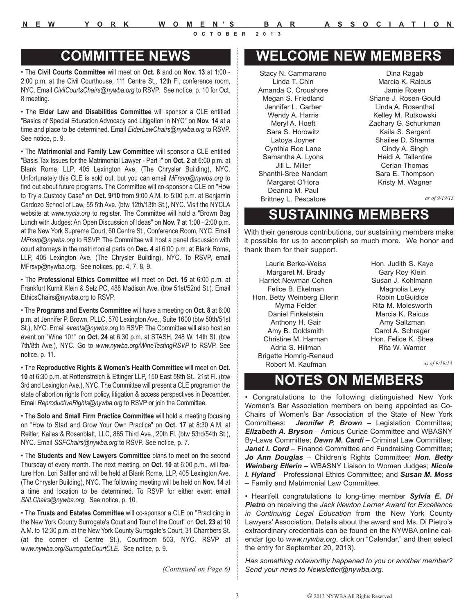**N E W Y O R K W O M E N'S B A R A S S O C I A T I O N**

**OCTOBER 2013**

## **COMMITTEE NEWS**

• The **Civil Courts Committee** will meet on **Oct. 8** and on **Nov. 13** at 1:00 - 2:00 p.m. at the Civil Courthouse, 111 Centre St., 12th Fl. conference room, NYC. Email *CivilCourtsChairs@nywba.org* to RSVP. See notice, p. 10 for Oct. 8 meeting.

• The **Elder Law and Disabilities Committee** will sponsor a CLE entitled "Basics of Special Education Advocacy and Litigation in NYC" on **Nov. 14** at a time and place to be determined. Email *ElderLawChairs@nywba.org* to RSVP. See notice, p. 9.

• The **Matrimonial and Family Law Committee** will sponsor a CLE entitled "Basis Tax Issues for the Matrimonial Lawyer - Part I" on **Oct. 2** at 6:00 p.m. at Blank Rome, LLP, 405 Lexington Ave. (The Chrysler Building), NYC. Unfortunately this CLE is sold out, but you can email *MFrsvp@nywba.org* to find out about future programs. The Committee will co-sponsor a CLE on "How to Try a Custody Case" on **Oct. 9/10** from 9:00 A.M. to 5:00 p.m. at Benjamin Cardozo School of Law, 55 5th Ave. (btw 12th/13th St.), NYC. Visit the NYCLA website at *www.nycla.org* to register. The Committee will hold a "Brown Bag Lunch with Judges: An Open Discussion of Ideas" on **Nov. 7** at 1:00 - 2:00 p.m. at the New York Supreme Court, 60 Centre St., Conference Room, NYC. Email *MFrsvp@nywba.org* to RSVP. The Committee will host a panel discussion with court attorneys in the matrimonial parts on **Dec. 4** at 6:00 p.m. at Blank Rome, LLP, 405 Lexington Ave. (The Chrysler Building), NYC. To RSVP, email MFrsvp@nywba.org. See notices, pp. 4, 7, 8, 9.

• The **Professional Ethics Committee** will meet on **Oct. 15** at 6:00 p.m. at Frankfurt Kurnit Klein & Selz PC, 488 Madison Ave. (btw 51st/52nd St.). Email EthicsChairs@nywba.org to RSVP.

• The **Programs and Events Committee** will have a meeting on **Oct. 8** at 6:00 p.m. at Jennifer P. Brown, PLLC, 570 Lexington Ave., Suite 1600 (btw 50th/51st St.), NYC. Email *events@nywba.org* to RSVP. The Committee will also host an event on "Wine 101" on **Oct. 24** at 6:30 p.m. at STASH, 248 W. 14th St. (btw 7th/8th Ave.), NYC. Go to *www.nywba.org/WineTastingRSVP* to RSVP. See notice, p. 11.

• The **Reproductive Rights & Women's Health Committee** will meet on **Oct. 10** at 6:30 p.m. at Rottenstreich & Ettinger LLP, 150 East 58th St., 21st Fl. (btw 3rd and Lexington Ave.), NYC. The Committee will present a CLE program on the state of abortion rights from policy, litigation & access perspectives in December. Email *ReproductiveRights@nywba.org* to RSVP or join the Committee.

• The **Solo and Small Firm Practice Committee** will hold a meeting focusing on "How to Start and Grow Your Own Practice" on **Oct. 17** at 8:30 A.M. at Reitler, Kailas & Rosenblatt, LLC, 885 Third Ave., 20th Fl. (btw 53rd/54th St.), NYC. Email *SSFChairs@nywba.org* to RSVP. See notice, p. 7.

• The **Students and New Lawyers Committee** plans to meet on the second Thursday of every month. The next meeting, on **Oct. 10** at 6:00 p.m., will feature Hon. Lori Sattler and will be held at Blank Rome, LLP, 405 Lexington Ave. (The Chrysler Building), NYC. The following meeting will be held on **Nov. 14** at a time and location to be determined. To RSVP for either event email *SNLChairs@nywba.org*. See notice, p. 10.

• The **Trusts and Estates Committee** will co-sponsor a CLE on "Practicing in the New York County Surrogate's Court and Tour of the Court" on **Oct. 23** at 10 A.M. to 12:30 p.m. at the New York County Surrogate's Court, 31 Chambers St. (at the corner of Centre St.), Courtroom 503, NYC. RSVP at *www.nywba.org/SurrogateCourtCLE*. See notice, p. 9.

*(Continued on Page 6)*

## **WELCOME NEW MEMBERS**

Stacy N. Cammarano Linda T. Chin Amanda C. Croushore Megan S. Friedland Jennifer L. Garber Wendy A. Harris Meryl A. Hoeft Sara S. Horowitz Latoya Joyner Cynthia Roe Lane Samantha A. Lyons Jill L. Miller Shanthi-Sree Nandam Margaret O'Hora Deanna M. Paul Brittney L. Pescatore

Dina Ragab Marcia K. Raicus Jamie Rosen Shane J. Rosen-Gould Linda A. Rosenthal Kelley M. Rutkowski Zachary G. Schurkman Kaila S. Sergent Shailee D. Sharma Cindy A. Singh Heidi A. Tallentire Cerian Thomas Sara E. Thompson Kristy M. Wagner

*as of 9/19/13*

## **SUSTAINING MEMBERS**

With their generous contributions, our sustaining members make it possible for us to accomplish so much more. We honor and thank them for their support.

Laurie Berke-Weiss Margaret M. Brady Harriet Newman Cohen Felice B. Ekelman Hon. Betty Weinberg Ellerin Myrna Felder Daniel Finkelstein Anthony H. Gair Amy B. Goldsmith Christine M. Harman Adria S. Hillman Brigette Homrig-Renaud Robert M. Kaufman

Hon. Judith S. Kaye Gary Roy Klein Susan J. Kohlmann Magnolia Levy Robin LoGuidice Rita M. Molesworth Marcia K. Raicus Amy Saltzman Carol A. Schrager Hon. Felice K. Shea Rita W. Warner

*as of 9/19/13*

## **NOTES ON MEMBERS**

• Congratulations to the following distinguished New York Women's Bar Association members on being appointed as Co-Chairs of Women's Bar Association of the State of New York Committees: *Jennifer P. Brown* – Legislation Committee; *Elizabeth A. Bryson* – Amicus Curiae Committee and WBASNY By-Laws Committee; **Dawn M. Cardi** - Criminal Law Committee; **Janet I. Cord** – Finance Committee and Fundraising Committee; *Jo Ann Douglas* – Children's Rights Committee; *Hon. Betty Weinberg Ellerin* – WBASNY Liaison to Women Judges; *Nicole I. Hyland* – Professional Ethics Committee; and *Susan M. Moss* – Family and Matrimonial Law Committee.

• Heartfelt congratulations to long-time member *Sylvia E. Di Pietro* on receiving the *Jack Newton Lerner Award for Excellence in Continuing Legal Education* from the New York County Lawyers' Association. Details about the award and Ms. Di Pietro's extraordinary credentials can be found on the NYWBA online calendar (go to *www.nywba.org*, click on "Calendar," and then select the entry for September 20, 2013).

*Has something noteworthy happened to you or another member? Send your news to Newsletter@nywba.org.*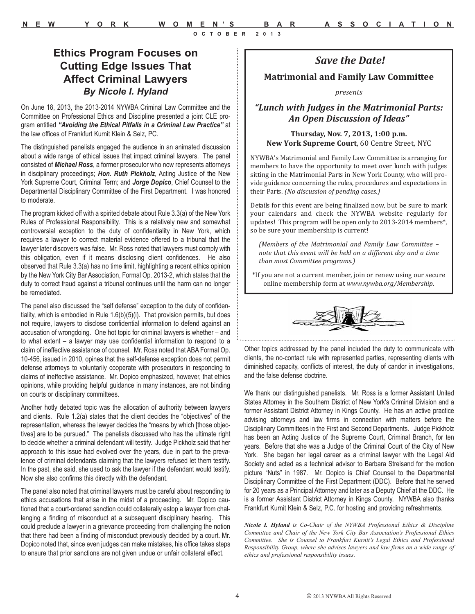## *Save the Date!*

#### **Matrimonial and Family Law Committee**

*presents*

*"Lunch with Judges in the Matrimonial Parts: An Open Discussion of Ideas"*

#### **Thursday, Nov. 7, 2013, 1:00 p.m. New York Supreme Court**, 60 Centre Street, NYC

NYWBA's Matrimonial and Family Law Committee is arranging for members to have the opportunity to meet over lunch with judges sitting in the Matrimonial Parts in New York County, who will provide guidance concerning the rules, procedures and expectations in their Parts. *(No discussion of pending cases.)* 

Details for this event are being finalized now, but be sure to mark your calendars and check the NYWBA website regularly for updates! This program will be open only to 2013-2014 members\*, so be sure your membership is current!

*(Members of the Matrimonial and Family Law Committee – note that this event will be held on a different day and a time than most Committee programs.)* 

\*If you are not a current member, join or renew using our secure online membership form at *www.nywba.org/Membership*.



Other topics addressed by the panel included the duty to communicate with clients, the no-contact rule with represented parties, representing clients with diminished capacity, conflicts of interest, the duty of candor in investigations, and the false defense doctrine.

We thank our distinguished panelists. Mr. Ross is a former Assistant United States Attorney in the Southern District of New York's Criminal Division and a former Assistant District Attorney in Kings County. He has an active practice advising attorneys and law firms in connection with matters before the Disciplinary Committees in the First and Second Departments. Judge Pickholz has been an Acting Justice of the Supreme Court, Criminal Branch, for ten years. Before that she was a Judge of the Criminal Court of the City of New York. She began her legal career as a criminal lawyer with the Legal Aid Society and acted as a technical advisor to Barbara Streisand for the motion picture "Nuts" in 1987. Mr. Dopico is Chief Counsel to the Departmental Disciplinary Committee of the First Department (DDC). Before that he served for 20 years as a Principal Attorney and later as a Deputy Chief at the DDC. He is a former Assistant District Attorney in Kings County. NYWBA also thanks Frankfurt Kurnit Klein & Selz, P.C. for hosting and providing refreshments.

*Nicole I. Hyland is Co-Chair of the NYWBA Professional Ethics & Discipline Committee and Chair of the New York City Bar Association's Professional Ethics Committee. She is Counsel to Frankfurt Kurnit's Legal Ethics and Professional Responsibility Group, where she advises lawyers and law firms on a wide range of ethics and professional responsibility issues.*

**Ethics Program Focuses on Cutting Edge Issues That Affect Criminal Lawyers** *By Nicole I. Hyland*

On June 18, 2013, the 2013-2014 NYWBA Criminal Law Committee and the Committee on Professional Ethics and Discipline presented a joint CLE program entitled *"Avoiding the Ethical Pitfalls in a Criminal Law Practice"* at the law offices of Frankfurt Kurnit Klein & Selz, PC.

The distinguished panelists engaged the audience in an animated discussion about a wide range of ethical issues that impact criminal lawyers. The panel consisted of *Michael Ross*, a former prosecutor who now represents attorneys in disciplinary proceedings; *Hon. Ruth Pickholz*, Acting Justice of the New York Supreme Court, Criminal Term; and *Jorge Dopico*, Chief Counsel to the Departmental Disciplinary Committee of the First Department. I was honored to moderate.

The program kicked off with a spirited debate about Rule 3.3(a) of the New York Rules of Professional Responsibility. This is a relatively new and somewhat controversial exception to the duty of confidentiality in New York, which requires a lawyer to correct material evidence offered to a tribunal that the lawyer later discovers was false. Mr. Ross noted that lawyers must comply with this obligation, even if it means disclosing client confidences. He also observed that Rule 3.3(a) has no time limit, highlighting a recent ethics opinion by the New York City Bar Association, Formal Op. 2013-2, which states that the duty to correct fraud against a tribunal continues until the harm can no longer be remediated.

The panel also discussed the "self defense" exception to the duty of confidentiality, which is embodied in Rule 1.6(b)(5)(i). That provision permits, but does not require, lawyers to disclose confidential information to defend against an accusation of wrongdoing. One hot topic for criminal lawyers is whether – and to what extent – a lawyer may use confidential information to respond to a claim of ineffective assistance of counsel. Mr. Ross noted that ABA Formal Op. 10-456, issued in 2010, opines that the self-defense exception does not permit defense attorneys to voluntarily cooperate with prosecutors in responding to claims of ineffective assistance. Mr. Dopico emphasized, however, that ethics opinions, while providing helpful guidance in many instances, are not binding on courts or disciplinary committees.

Another hotly debated topic was the allocation of authority between lawyers and clients. Rule 1.2(a) states that the client decides the "objectives" of the representation, whereas the lawyer decides the "means by which [those objectives] are to be pursued." The panelists discussed who has the ultimate right to decide whether a criminal defendant will testify. Judge Pickholz said that her approach to this issue had evolved over the years, due in part to the prevalence of criminal defendants claiming that the lawyers refused let them testify. In the past, she said, she used to ask the lawyer if the defendant would testify. Now she also confirms this directly with the defendant.

The panel also noted that criminal lawyers must be careful about responding to ethics accusations that arise in the midst of a proceeding. Mr. Dopico cautioned that a court-ordered sanction could collaterally estop a lawyer from challenging a finding of misconduct at a subsequent disciplinary hearing. This could preclude a lawyer in a grievance proceeding from challenging the notion that there had been a finding of misconduct previously decided by a court. Mr. Dopico noted that, since even judges can make mistakes, his office takes steps to ensure that prior sanctions are not given undue or unfair collateral effect.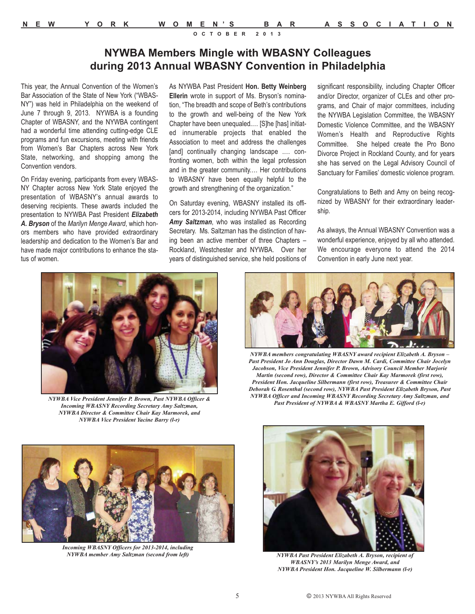## **NYWBA Members Mingle with WBASNY Colleagues during 2013 Annual WBASNY Convention in Philadelphia**

This year, the Annual Convention of the Women's Bar Association of the State of New York ("WBAS-NY") was held in Philadelphia on the weekend of June 7 through 9, 2013. NYWBA is a founding Chapter of WBASNY, and the NYWBA contingent had a wonderful time attending cutting-edge CLE programs and fun excursions, meeting with friends from Women's Bar Chapters across New York State, networking, and shopping among the Convention vendors.

On Friday evening, participants from every WBAS-NY Chapter across New York State enjoyed the presentation of WBASNY's annual awards to deserving recipients. These awards included the presentation to NYWBA Past President *Elizabeth A. Bryson* of the *Marilyn Menge Award*, which honors members who have provided extraordinary leadership and dedication to the Women's Bar and have made major contributions to enhance the status of women.

As NYWBA Past President **Hon. Betty Weinberg Ellerin** wrote in support of Ms. Bryson's nomination, "The breadth and scope of Beth's contributions to the growth and well-being of the New York Chapter have been unequaled.… [S]he [has] initiated innumerable projects that enabled the Association to meet and address the challenges [and] continually changing landscape .... confronting women, both within the legal profession and in the greater community.… Her contributions to WBASNY have been equally helpful to the growth and strengthening of the organization."

On Saturday evening, WBASNY installed its officers for 2013-2014, including NYWBA Past Officer *Amy Saltzman*, who was installed as Recording Secretary. Ms. Saltzman has the distinction of having been an active member of three Chapters – Rockland, Westchester and NYWBA. Over her years of distinguished service, she held positions of significant responsibility, including Chapter Officer and/or Director, organizer of CLEs and other programs, and Chair of major committees, including the NYWBA Legislation Committee, the WBASNY Domestic Violence Committee, and the WBASNY Women's Health and Reproductive Rights Committee. She helped create the Pro Bono Divorce Project in Rockland County, and for years she has served on the Legal Advisory Council of Sanctuary for Families' domestic violence program.

Congratulations to Beth and Amy on being recognized by WBASNY for their extraordinary leadership.

As always, the Annual WBASNY Convention was a wonderful experience, enjoyed by all who attended. We encourage everyone to attend the 2014 Convention in early June next year.



*Incoming WBASNY Recording Secretary Amy Saltzman, NYWBA Director & Committee Chair Kay Marmorek, and NYWBA Vice President Yacine Barry (l-r)* 



*NYWBA members congratulating WBASNY award recipient Elizabeth A. Bryson – Past President Jo Ann Douglas, Director Dawn M. Cardi, Committee Chair Jocelyn Jacobson, Vice President Jennifer P. Brown, Advisory Council Member Marjorie Martin (second row), Director & Committee Chair Kay Marmorek (first row), President Hon. Jacqueline Silbermann (first row), Treasurer & Committee Chair Deborah G. Rosenthal (second row), NYWBA Past President Elizabeth Bryson, Past NYWBA Officer and Incoming WBASNY Recording Secretary Amy Saltzman, and Past President of NYWBA & WBASNY Martha E. Gifford (l-r) NYWBA Vice President Jennifer P. Brown, Past NYWBA Officer &*



*Incoming WBASNY Officers for 2013-2014, including NYWBA member Amy Saltzman (second from left)* 



*NYWBA Past President Elizabeth A. Bryson, recipient of WBASNY's 2013 Marilyn Menge Award, and NYWBA President Hon. Jacqueline W. Silbermann (l-r)*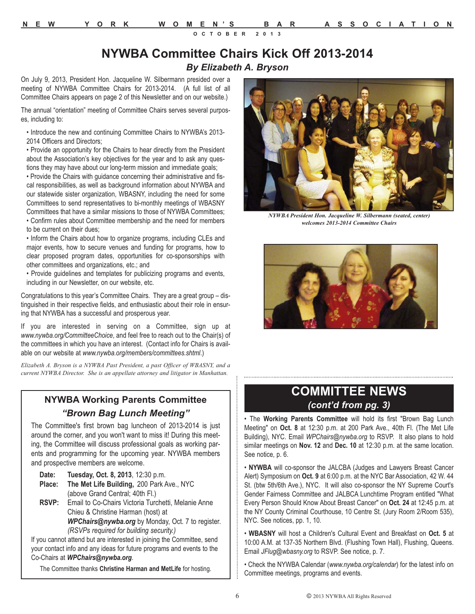## **NYWBA Committee Chairs Kick Off 2013-2014** *By Elizabeth A. Bryson*

On July 9, 2013, President Hon. Jacqueline W. Silbermann presided over a meeting of NYWBA Committee Chairs for 2013-2014. (A full list of all Committee Chairs appears on page 2 of this Newsletter and on our website.)

The annual "orientation" meeting of Committee Chairs serves several purposes, including to:

• Introduce the new and continuing Committee Chairs to NYWBA's 2013- 2014 Officers and Directors;

• Provide an opportunity for the Chairs to hear directly from the President about the Association's key objectives for the year and to ask any questions they may have about our long-term mission and immediate goals;

• Provide the Chairs with guidance concerning their administrative and fiscal responsibilities, as well as background information about NYWBA and our statewide sister organization, WBASNY, including the need for some Committees to send representatives to bi-monthly meetings of WBASNY Committees that have a similar missions to those of NYWBA Committees; • Confirm rules about Committee membership and the need for members

to be current on their dues;

• Inform the Chairs about how to organize programs, including CLEs and major events, how to secure venues and funding for programs, how to clear proposed program dates, opportunities for co-sponsorships with other committees and organizations, etc.; and

• Provide guidelines and templates for publicizing programs and events, including in our Newsletter, on our website, etc.

Congratulations to this year's Committee Chairs. They are a great group – distinguished in their respective fields, and enthusiastic about their role in ensuring that NYWBA has a successful and prosperous year.

If you are interested in serving on a Committee, sign up at *www.nywba.org/CommitteeChoice*, and feel free to reach out to the Chair(s) of the committees in which you have an interest. (Contact info for Chairs is available on our website at *www.nywba.org/members/committees.shtml*.)

*Elizabeth A. Bryson is a NYWBA Past President, a past Officer of WBASNY, and a current NYWBA Director. She is an appellate attorney and litigator in Manhattan.*

## **NYWBA Working Parents Committee**  *"Brown Bag Lunch Meeting"*

The Committee's first brown bag luncheon of 2013-2014 is just around the corner, and you won't want to miss it! During this meeting, the Committee will discuss professional goals as working parents and programming for the upcoming year. NYWBA members and prospective members are welcome.

| Date: |  | Tuesday, Oct. 8, 2013, 12:30 p.m. |
|-------|--|-----------------------------------|
|       |  |                                   |

**Place: The Met Life Building,** 200 Park Ave., NYC (above Grand Central; 40th Fl.)

**RSVP:** Email to Co-Chairs Victoria Turchetti, Melanie Anne Chieu & Christine Harman (host) at *WPChairs@nywba.org* by Monday, Oct. 7 to register. *(RSVPs required for building security.)*

If you cannot attend but are interested in joining the Committee, send your contact info and any ideas for future programs and events to the Co-Chairs at *WPChairs@nywba.org*.

The Committee thanks **Christine Harman and MetLife** for hosting.



*NYWBA President Hon. Jacqueline W. Silbermann (seated, center) welcomes 2013-2014 Committee Chairs* 



## **COMMITTEE NEWS** *(cont'd from pg. 3)*

• The **Working Parents Committee** will hold its first "Brown Bag Lunch Meeting" on **Oct. 8** at 12:30 p.m. at 200 Park Ave., 40th Fl. (The Met Life Building), NYC. Email *WPChairs@nywba.org* to RSVP. It also plans to hold similar meetings on **Nov. 12** and **Dec. 10** at 12:30 p.m. at the same location. See notice, p. 6.

• **NYWBA** will co-sponsor the JALCBA (Judges and Lawyers Breast Cancer Alert) Symposium on **Oct. 9** at 6:00 p.m. at the NYC Bar Association, 42 W. 44 St. (btw 5th/6th Ave.), NYC. It will also co-sponsor the NY Supreme Court's Gender Fairness Committee and JALBCA Lunchtime Program entitled "What Every Person Should Know About Breast Cancer" on **Oct. 24** at 12:45 p.m. at the NY County Criminal Courthouse, 10 Centre St. (Jury Room 2/Room 535), NYC. See notices, pp. 1, 10.

• **WBASNY** will host a Children's Cultural Event and Breakfast on **Oct. 5** at 10:00 A.M. at 137-35 Northern Blvd. (Flushing Town Hall), Flushing, Queens. Email *JFlug@wbasny.org* to RSVP. See notice, p. 7.

• Check the NYWBA Calendar (*www.nywba.org/calendar*) for the latest info on Committee meetings, programs and events.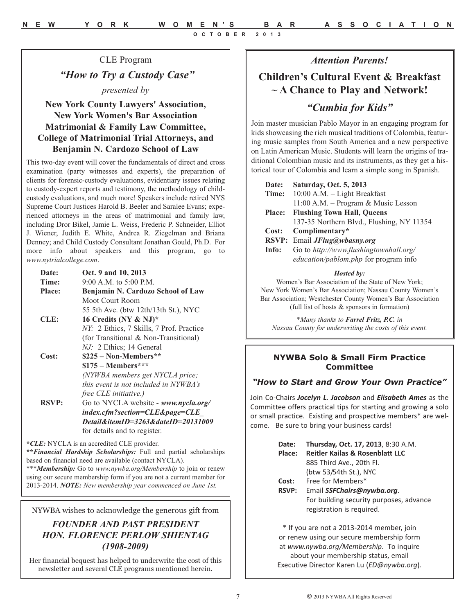*Attention Parents!*

## **Children's Cultural Event & Breakfast ~ A Chance to Play and Network!**

## *"Cumbia for Kids"*

Join master musician Pablo Mayor in an engaging program for kids showcasing the rich musical traditions of Colombia, featuring music samples from South America and a new perspective on Latin American Music. Students will learn the origins of traditional Colombian music and its instruments, as they get a historical tour of Colombia and learn a simple song in Spanish.

| Date:         | <b>Saturday, Oct. 5, 2013</b>             |
|---------------|-------------------------------------------|
| Time:         | 10:00 A.M. - Light Breakfast              |
|               | $11:00$ A.M. – Program & Music Lesson     |
| <b>Place:</b> | <b>Flushing Town Hall, Queens</b>         |
|               | 137-35 Northern Blvd., Flushing, NY 11354 |
| Cost:         | Complimentary*                            |
|               | RSVP: Email JFlug@wbasny.org              |
| Info:         | Go to http://www.flushingtownhall.org/    |
|               | education/pablom.php for program info     |

#### *Hosted by:*

Women's Bar Association of the State of New York; New York Women's Bar Association; Nassau County Women's Bar Association; Westchester County Women's Bar Association (full list of hosts & sponsors in formation)

*\*Many thanks to Farrel Fritz, P.C. in Nassau County for underwriting the costs of this event.*

#### **NYWBA Solo & Small Firm Practice Committee**

#### *"How to Start and Grow Your Own Practice"*

Join Co-Chairs *Jocelyn L. Jacobson* and *Elisabeth Ames* as the Committee offers practical tips for starting and growing a solo or small practice. Existing and prospective members\* are welcome. Be sure to bring your business cards!

| Date:        | Thursday, Oct. 17, 2013, 8:30 A.M.                                   |  |
|--------------|----------------------------------------------------------------------|--|
| Place:       | <b>Reitler Kailas &amp; Rosenblatt LLC</b>                           |  |
|              | 885 Third Ave., 20th Fl.                                             |  |
|              | (btw 53/54th St.), NYC                                               |  |
| Cost:        | Free for Members*                                                    |  |
| <b>RSVP:</b> | Email SSFChairs@nywba.org.                                           |  |
|              | For building security purposes, advance<br>registration is required. |  |

\* If you are not a 2013-2014 member, join or renew using our secure membership form at *www.nywba.org/Membership*. To inquire about your membership status, email Executive Director Karen Lu (*ED@nywba.org*).

CLE Program *"How to Try a Custody Case" presented by* 

## **New York County Lawyers' Association, New York Women's Bar Association Matrimonial & Family Law Committee, College of Matrimonial Trial Attorneys, and Benjamin N. Cardozo School of Law**

This two-day event will cover the fundamentals of direct and cross examination (party witnesses and experts), the preparation of clients for forensic-custody evaluations, evidentiary issues relating to custody-expert reports and testimony, the methodology of childcustody evaluations, and much more! Speakers include retired NYS Supreme Court Justices Harold B. Beeler and Saralee Evans; experienced attorneys in the areas of matrimonial and family law, including Dror Bikel, Jamie L. Weiss, Frederic P. Schneider, Elliot J. Wiener, Judith E. White, Andrea R. Ziegelman and Briana Denney; and Child Custody Consultant Jonathan Gould, Ph.D. For more info about speakers and this program, go to *www.nytrialcollege.com*.

| Date:        | Oct. 9 and 10, 2013                               |
|--------------|---------------------------------------------------|
| Time:        | $9:00$ A.M. to $5:00$ P.M.                        |
| Place:       | Benjamin N. Cardozo School of Law                 |
|              | Moot Court Room                                   |
|              | 55 5th Ave. (btw 12th/13th St.), NYC              |
| CLE:         | 16 Credits (NY & NJ)*                             |
|              | NY: 2 Ethics, 7 Skills, 7 Prof. Practice          |
|              | (for Transitional & Non-Transitional)             |
|              | NJ: 2 Ethics; 14 General                          |
| Cost:        | $$225 - Non-Members**$                            |
|              | $$175 - Members***$                               |
|              | (NYWBA members get NYCLA price;                   |
|              | this event is not included in NYWBA's             |
|              | <i>free CLE initiative.)</i>                      |
| <b>RSVP:</b> | Go to NYCLA website - www.nycla.org/              |
|              | index.cfm?section=CLE&page=CLE                    |
|              | Detail&itemID= $3263$ &dateID= $20131009$         |
|              | for details and to register.                      |
|              | <i>*CLE:</i> NYCLA is an accredited CLE provider. |

**\*\****Financial Hardship Scholarships:* Full and partial scholarships based on financial need are available (contact NYCLA). \*\*\**Membership:* Go to *www.nywba.org/Membership* to join or renew

using our secure membership form if you are not a current member for 2013-2014. *NOTE: New membership year commenced on June 1st.*

NYWBA wishes to acknowledge the generous gift from

## *FOUNDER AND PAST PRESIDENT HON. FLORENCE PERLOW SHIENTAG (1908-2009)*

Her financial bequest has helped to underwrite the cost of this newsletter and several CLE programs mentioned herein.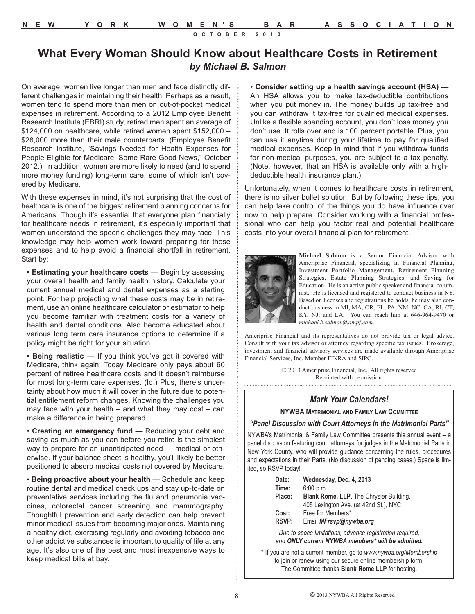## **What Every Woman Should Know about Healthcare Costs in Retirement** *by Michael B. Salmon*

On average, women live longer than men and face distinctly different challenges in maintaining their health. Perhaps as a result, women tend to spend more than men on out-of-pocket medical expenses in retirement. According to a 2012 Employee Benefit Research Institute (EBRI) study, retired men spent an average of \$124,000 on healthcare, while retired women spent \$152,000 – \$28,000 more than their male counterparts. (Employee Benefit Research Institute, "Savings Needed for Health Expenses for People Eligible for Medicare: Some Rare Good News," October 2012.) In addition, women are more likely to need (and to spend more money funding) long-term care, some of which isn't covered by Medicare.

With these expenses in mind, it's not surprising that the cost of healthcare is one of the biggest retirement planning concerns for Americans. Though it's essential that everyone plan financially for healthcare needs in retirement, it's especially important that women understand the specific challenges they may face. This knowledge may help women work toward preparing for these expenses and to help avoid a financial shortfall in retirement. Start by:

• **Estimating your healthcare costs** — Begin by assessing your overall health and family health history. Calculate your current annual medical and dental expenses as a starting point. For help projecting what these costs may be in retirement, use an online healthcare calculator or estimator to help you become familiar with treatment costs for a variety of health and dental conditions. Also become educated about various long term care insurance options to determine if a policy might be right for your situation.

• **Being realistic** — If you think you've got it covered with Medicare, think again. Today Medicare only pays about 60 percent of retiree healthcare costs and it doesn't reimburse for most long-term care expenses. (Id.) Plus, there's uncertainty about how much it will cover in the future due to potential entitlement reform changes. Knowing the challenges you may face with your health  $-$  and what they may cost  $-$  can make a difference in being prepared.

• **Creating an emergency fund** — Reducing your debt and saving as much as you can before you retire is the simplest way to prepare for an unanticipated need — medical or otherwise. If your balance sheet is healthy, you'll likely be better positioned to absorb medical costs not covered by Medicare.

• **Being proactive about your health** — Schedule and keep routine dental and medical check ups and stay up-to-date on preventative services including the flu and pneumonia vaccines, colorectal cancer screening and mammography. Thoughtful prevention and early detection can help prevent minor medical issues from becoming major ones. Maintaining a healthy diet, exercising regularly and avoiding tobacco and other addictive substances is important to quality of life at any age. It's also one of the best and most inexpensive ways to keep medical bills at bay.

• **Consider setting up a health savings account (HSA)** — An HSA allows you to make tax-deductible contributions when you put money in. The money builds up tax-free and you can withdraw it tax-free for qualified medical expenses. Unlike a flexible spending account, you don't lose money you don't use. It rolls over and is 100 percent portable. Plus, you can use it anytime during your lifetime to pay for qualified medical expenses. Keep in mind that if you withdraw funds for non-medical purposes, you are subject to a tax penalty. (Note, however, that an HSA is available only with a highdeductible health insurance plan.)

Unfortunately, when it comes to healthcare costs in retirement, there is no silver bullet solution. But by following these tips, you can help take control of the things you do have influence over now to help prepare. Consider working with a financial professional who can help you factor real and potential healthcare costs into your overall financial plan for retirement.



**Michael Salmon** is a Senior Financial Advisor with Ameriprise Financial, specializing in Financial Planning, Investment Portfolio Management, Retirement Planning Strategies, Estate Planning Strategies, and Saving for Education. He is an active public speaker and financial columnist. He is licensed and registered to conduct business in NY. Based on licenses and registrations he holds, he may also conduct business in MI, MA, OR, FL, PA, NM, NC, CA, RI, CT, KY, NJ, and LA. You can reach him at 646-964-9470 or *michael.b.salmon@ampf.com*.

Ameriprise Financial and its representatives do not provide tax or legal advice. Consult with your tax advisor or attorney regarding specific tax issues. Brokerage, investment and financial advisory services are made available through Ameriprise Financial Services, Inc. Member FINRA and SIPC.

> © 2013 Ameriprise Financial, Inc. All rights reserved Reprinted with permission.

#### *Mark Your Calendars!*

**NYWBA MATRIMONIAL AND FAMILY LAW COMMITTEE**

#### *"Panel Discussion with Court Attorneys in the Matrimonial Parts"*

NYWBA's Matrimonial & Family Law Committee presents this annual event – a panel discussion featuring court attorneys for judges in the Matrimonial Parts in New York County, who will provide guidance concerning the rules, procedures and expectations in their Parts. (No discussion of pending cases.) Space is limited, so RSVP today!

| Date:        | Wednesday, Dec. 4, 2013                        |
|--------------|------------------------------------------------|
| Time:        | 6:00 p.m.                                      |
| Place:       | <b>Blank Rome, LLP, The Chrysler Building,</b> |
|              | 405 Lexington Ave. (at 42nd St.), NYC          |
| Cost:        | Free for Members*                              |
| <b>RSVP:</b> | Email MFrsvp@nywba.org                         |
|              |                                                |

*Due to space limitations, advance registration required, and ONLY current NYWBA members\* will be admitted.*

\* If you are not a current member, go to *www.nywba.org/Membership* to join or renew using our secure online membership form. The Committee thanks **Blank Rome LLP** for hosting.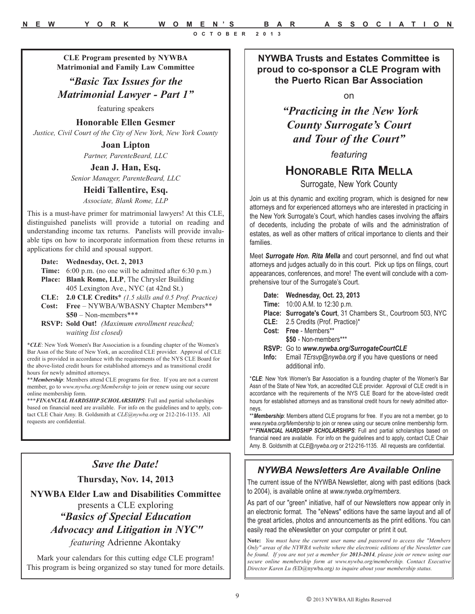**CLE Program presented by NYWBA Matrimonial and Family Law Committee**

*"Basic Tax Issues for the Matrimonial Lawyer - Part 1"*

featuring speakers

**Honorable Ellen Gesmer** 

*Justice, Civil Court of the City of New York, New York County* 

**Joan Lipton**  *Partner, ParenteBeard, LLC*

**Jean J. Han, Esq.**  *Senior Manager, ParenteBeard, LLC*

## **Heidi Tallentire, Esq.**

*Associate, Blank Rome, LLP* 

This is a must-have primer for matrimonial lawyers! At this CLE, distinguished panelists will provide a tutorial on reading and understanding income tax returns. Panelists will provide invaluable tips on how to incorporate information from these returns in applications for child and spousal support.

#### **Date: Wednesday, Oct. 2, 2013**

**Time:** 6:00 p.m. (no one will be admitted after 6:30 p.m.)

**Place: Blank Rome, LLP**, The Chrysler Building 405 Lexington Ave., NYC (at 42nd St.)

**CLE: 2.0 CLE Credits**\* *(1.5 skills and 0.5 Prof. Practice)*

- **Cost: Free** NYWBA/WBASNY Chapter Members\*\* **\$50** – Non-members\*\*\*
- **RSVP: Sold Out!** *(Maximum enrollment reached; waiting list closed)*

\**CLE*: New York Women's Bar Association is a founding chapter of the Women's Bar Assn of the State of New York, an accredited CLE provider. Approval of CLE credit is provided in accordance with the requirements of the NYS CLE Board for the above-listed credit hours for established attorneys and as transitional credit hours for newly admitted attorneys.

\*\**Membership*: Members attend CLE programs for free. If you are not a current member, go to *www.nywba.org/Membership* to join or renew using our secure online membership form.

\*\*\**FINANCIAL HARDSHIP SCHOLARSHIPS*: Full and partial scholarships based on financial need are available. For info on the guidelines and to apply, contact CLE Chair Amy. B. Goldsmith at *CLE@nywba.org* or 212-216-1135. All requests are confidential.

## *Save the Date!*

**Thursday, Nov. 14, 2013**

**NYWBA Elder Law and Disabilities Committee** presents a CLE exploring *"Basics of Special Education Advocacy and Litigation in NYC" featuring* Adrienne Akontaky

Mark your calendars for this cutting edge CLE program! This program is being organized so stay tuned for more details.

**NYWBA Trusts and Estates Committee is proud to co-sponsor a CLE Program with the Puerto Rican Bar Association** 

on

*"Practicing in the New York County Surrogate's Court and Tour of the Court"*

*featuring*

## **HONORABLE RITA MELLA**

Surrogate, New York County

Join us at this dynamic and exciting program, which is designed for new attorneys and for experienced attorneys who are interested in practicing in the New York Surrogate's Court, which handles cases involving the affairs of decedents, including the probate of wills and the administration of estates, as well as other matters of critical importance to clients and their families.

Meet *Surrogate Hon. Rita Mella* and court personnel, and find out what attorneys and judges actually do in this court. Pick up tips on filings, court appearances, conferences, and more! The event will conclude with a comprehensive tour of the Surrogate's Court.

| Date: Wednesday, Oct. 23, 2013                                |
|---------------------------------------------------------------|
| <b>Time:</b> 10:00 A.M. to 12:30 p.m.                         |
| Place: Surrogate's Court, 31 Chambers St., Courtroom 503, NYC |
| CLE: 2.5 Credits (Prof. Practice)*                            |
| Cost: Free - Members**                                        |
| \$50 - Non-members***                                         |
| RSVP: Go to www.nywba.org/SurrogateCourtCLE                   |
| Info: Email TErsvp@nywba.org if you have questions or need    |
| additional info.                                              |

\**CLE*: New York Women's Bar Association is a founding chapter of the Women's Bar Assn of the State of New York, an accredited CLE provider. Approval of CLE credit is in accordance with the requirements of the NYS CLE Board for the above-listed credit hours for established attorneys and as transitional credit hours for newly admitted attorneys.

\*\**Membership*: Members attend CLE programs for free. If you are not a member, go to *www.nywba.org/Membership* to join or renew using our secure online membership form. \*\*\***FINANCIAL HARDSHIP SCHOLARSHIPS:** Full and partial scholarships based on financial need are available. For info on the guidelines and to apply, contact CLE Chair Amy. B. Goldsmith at *CLE@nywba.org* or 212-216-1135. All requests are confidential.

## *NYWBA Newsletters Are Available Online*

The current issue of the NYWBA Newsletter, along with past editions (back to 2004), is available online at *www.nywba.org/members*.

As part of our "green" initiative, half of our Newsletters now appear only in an electronic format. The "eNews" editions have the same layout and all of the great articles, photos and announcements as the print editions. You can easily read the eNewsletter on your computer or print it out.

**Note:** *You must have the current user name and password to access the "Members Only" areas of the NYWBA website where the electronic editions of the Newsletter can be found. If you are not yet a member for 2013-2014, please join or renew using our secure online membership form at www.nywba.org/membership. Contact Executive Director Karen Lu (*ED@nywba.org*) to inquire about your membership status.*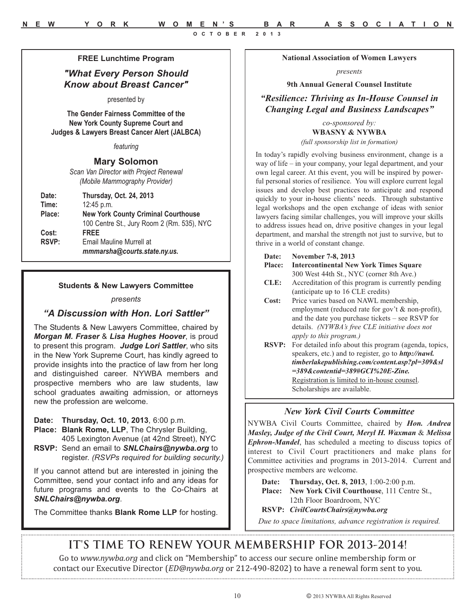#### **FREE Lunchtime Program**

### *"What Every Person Should Know about Breast Cancer"*

presented by

**The Gender Fairness Committee of the New York County Supreme Court and Judges & Lawyers Breast Cancer Alert (JALBCA)** 

*featuring*

#### **Mary Solomon**

*Scan Van Director with Project Renewal (Mobile Mammography Provider)* 

| Date:        | <b>Thursday, Oct. 24, 2013</b>             |
|--------------|--------------------------------------------|
| Time:        | $12:45$ p.m.                               |
| Place:       | <b>New York County Criminal Courthouse</b> |
|              | 100 Centre St., Jury Room 2 (Rm. 535), NYC |
| Cost:        | <b>FREE</b>                                |
| <b>RSVP:</b> | Email Mauline Murrell at                   |
|              | mmmarsha@courts.state.ny.us.               |

#### **Students & New Lawyers Committee**

#### *presents*

#### *"A Discussion with Hon. Lori Sattler"*

The Students & New Lawyers Committee, chaired by *Morgan M. Fraser* & *Lisa Hughes Hoover*, is proud to present this program. *Judge Lori Sattler*, who sits in the New York Supreme Court, has kindly agreed to provide insights into the practice of law from her long and distinguished career. NYWBA members and prospective members who are law students, law school graduates awaiting admission, or attorneys new the profession are welcome.

**Date: Thursday, Oct. 10, 2013**, 6:00 p.m.

- **Place: Blank Rome, LLP**, The Chrysler Building, 405 Lexington Avenue (at 42nd Street), NYC
- **RSVP:** Send an email to *SNLChairs@nywba.org* to register. *(RSVPs required for building security.)*

If you cannot attend but are interested in joining the Committee, send your contact info and any ideas for future programs and events to the Co-Chairs at *SNLChairs@nywba.org*.

The Committee thanks **Blank Rome LLP** for hosting.

**National Association of Women Lawyers**

*presents*

#### **9th Annual General Counsel Institute**

*"Resilience: Thriving as In-House Counsel in Changing Legal and Business Landscapes"*

#### *co-sponsored by:* **WBASNY & NYWBA**

*(full sponsorship list in formation)*

In today's rapidly evolving business environment, change is a way of life – in your company, your legal department, and your own legal career. At this event, you will be inspired by powerful personal stories of resilience. You will explore current legal issues and develop best practices to anticipate and respond quickly to your in-house clients' needs. Through substantive legal workshops and the open exchange of ideas with senior lawyers facing similar challenges, you will improve your skills to address issues head on, drive positive changes in your legal department, and marshal the strength not just to survive, but to thrive in a world of constant change.

| Date:         | November 7-8, 2013                                         |  |
|---------------|------------------------------------------------------------|--|
| <b>Place:</b> | <b>Intercontinental New York Times Square</b>              |  |
|               | 300 West 44th St., NYC (corner 8th Ave.)                   |  |
| CLE:          | Accreditation of this program is currently pending         |  |
|               | (anticipate up to 16 CLE credits)                          |  |
| Cost:         | Price varies based on NAWL membership,                     |  |
|               | employment (reduced rate for gov't & non-profit),          |  |
|               | and the date you purchase tickets $-$ see RSVP for         |  |
|               | details. (NYWBA's free CLE initiative does not             |  |
|               | apply to this program.)                                    |  |
| <b>RSVP:</b>  | For detailed info about this program (agenda, topics,      |  |
|               | speakers, etc.) and to register, go to <b>http://nawl.</b> |  |
|               | timberlakepublishing.com/content.asp?pl=309&sl             |  |
|               | $=389$ &contentid= $389\# GCI\% 20E-Zine$ .                |  |
|               | Registration is limited to in-house counsel.               |  |
|               | Scholarships are available.                                |  |
|               |                                                            |  |

#### *New York Civil Courts Committee*

NYWBA Civil Courts Committee, chaired by *Hon. Andrea Masley, Judge of the Civil Court, Meryl H. Waxman* & *Melissa Ephron-Mandel*, has scheduled a meeting to discuss topics of interest to Civil Court practitioners and make plans for Committee activities and programs in 2013-2014. Current and prospective members are welcome.

**Date: Thursday, Oct. 8, 2013**, 1:00-2:00 p.m. **Place: New York Civil Courthouse**, 111 Centre St., 12th Floor Boardroom, NYC **RSVP:** *CivilCourtsChairs@nywba.org*

*Due to space limitations, advance registration is required.*

## **IT'S TIME TO RENEW YOUR MEMBERSHIP FOR 2013-2014!**

Go to *www.nywba.org* and click on "Membership" to access our secure online membership form or contact our Executive Director (*ED@nywba.org* or 212-490-8202) to have a renewal form sent to you.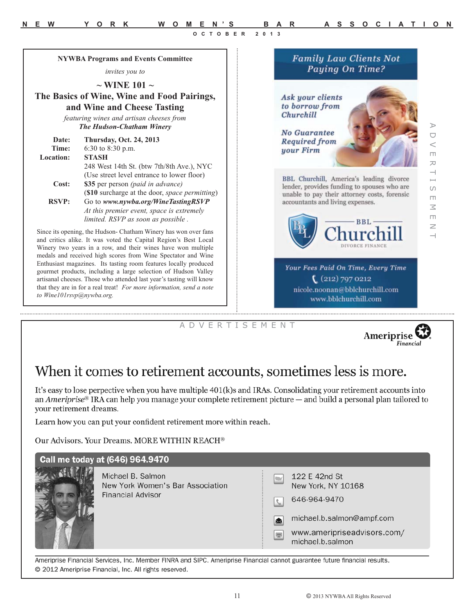**Family Law Clients Not** Paying On Time?

> Ask your clients to borrow from Churchill

**No Guarantee Required from** your Firm

 $\triangleright$ A D V E R T I S E M E N T  $\cup$  $\,<$  $\Box$  $\overline{\sim}$  $\overline{C}$  $\Box$  $\leq$  $\Box$  $\geq$ 

BBL Churchill, America's leading divorce lender, provides funding to spouses who are unable to pay their attorney costs, forensic accountants and living expenses.



**BBL** 

 $(212)$  797 0212 nicole.noonan@bblchurchill.com www.bblchurchill.com

A D V E R T I S E M E N T



## When it comes to retirement accounts, sometimes less is more.

It's easy to lose perpective when you have multiple 401(k)s and IRAs. Consolidating your retirement accounts into an Ameriprise<sup>®</sup> IRA can help you manage your complete retirement picture — and build a personal plan tailored to your retirement dreams.

Learn how you can put your confident retirement more within reach.

Our Advisors. Your Dreams. MORE WITHIN REACH®

**NYWBA Programs and Events Committee** *invites you to*  **~ WINE 101 ~ The Basics of Wine, Wine and Food Pairings, and Wine and Cheese Tasting**  *featuring wines and artisan cheeses from The Hudson-Chatham Winery*

> 248 West 14th St. (btw 7th/8th Ave.), NYC (Use street level entrance to lower floor)

(**\$10** surcharge at the door, *space permitting*)

*At this premier event, space is extremely limited. RSVP as soon as possible .*

**Date: Thursday, Oct. 24, 2013**

**Cost: \$35** per person *(paid in advance)*

**RSVP:** Go to *www.nywba.org/WineTastingRSVP*

Since its opening, the Hudson- Chatham Winery has won over fans and critics alike. It was voted the Capital Region's Best Local Winery two years in a row, and their wines have won multiple medals and received high scores from Wine Spectator and Wine Enthusiast magazines. Its tasting room features locally produced gourmet products, including a large selection of Hudson Valley artisanal cheeses. Those who attended last year's tasting will know that they are in for a real treat! *For more information, send a note*

**Time:** 6:30 to 8:30 p.m.

**Location: STASH** 

*to Wine101rsvp@nywba.org.*

| Call me today at (646) 964.9470                                                   |                                                                                                                                                            |  |  |
|-----------------------------------------------------------------------------------|------------------------------------------------------------------------------------------------------------------------------------------------------------|--|--|
| Michael B. Salmon<br>New York Women's Bar Association<br><b>Financial Advisor</b> | 122 E 42nd St<br>New York, NY 10168<br>646-964-9470<br>michael.b.salmon@ampf.com<br>⊠<br>www.ameripriseadvisors.com/<br>$\blacksquare$<br>michael.b.salmon |  |  |

Ameriprise Financial Services, Inc. Member FINRA and SIPC. Ameriprise Financial cannot guarantee future financial results. © 2012 Ameriprise Financial, Inc. All rights reserved.